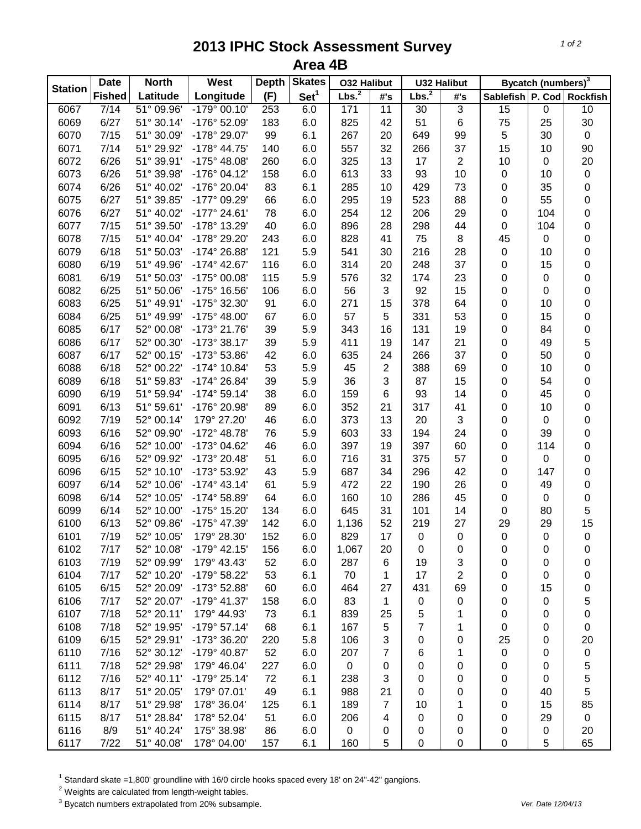## **2013 IPHC Stock Assessment Survey Area 4B**

| <b>Station</b> | <b>Date</b><br><b>North</b> |            | West                  | <b>Depth</b> | <b>Skates</b>    | <b>032 Halibut</b> |                 | <b>U32 Halibut</b> |                |                  | Bycatch (numbers) <sup>3</sup> |                           |
|----------------|-----------------------------|------------|-----------------------|--------------|------------------|--------------------|-----------------|--------------------|----------------|------------------|--------------------------------|---------------------------|
|                | <b>Fished</b>               | Latitude   | Longitude             | (F)          | Set <sup>1</sup> | Lbs. <sup>2</sup>  | #'s             | Lbs. <sup>2</sup>  | #'s            |                  |                                | Sablefish P. Cod Rockfish |
| 6067           | 7/14                        | 51° 09.96' | $-179°00.10'$         | 253          | 6.0              | 171                | $\overline{11}$ | 30                 | $\overline{3}$ | $\overline{15}$  | 0                              | 10                        |
| 6069           | 6/27                        | 51° 30.14' | -176° 52.09'          | 183          | 6.0              | 825                | 42              | 51                 | 6              | 75               | 25                             | 30                        |
| 6070           | 7/15                        | 51° 30.09' | -178° 29.07'          | 99           | 6.1              | 267                | 20              | 649                | 99             | 5                | 30                             | $\mathbf 0$               |
| 6071           | 7/14                        | 51° 29.92' | $-178°$ 44.75'        | 140          | 6.0              | 557                | 32              | 266                | 37             | 15               | 10                             | 90                        |
| 6072           | 6/26                        | 51° 39.91' | $-175^{\circ}$ 48.08' | 260          | 6.0              | 325                | 13              | 17                 | $\overline{2}$ | 10               | 0                              | 20                        |
| 6073           | 6/26                        | 51° 39.98' | $-176°04.12'$         | 158          | 6.0              | 613                | 33              | 93                 | 10             | 0                | 10                             | $\pmb{0}$                 |
| 6074           | 6/26                        | 51° 40.02' | -176° 20.04'          | 83           | 6.1              | 285                | 10              | 429                | 73             | 0                | 35                             | $\mathbf 0$               |
| 6075           | 6/27                        | 51° 39.85' | -177° 09.29'          | 66           | 6.0              | 295                | 19              | 523                | 88             | 0                | 55                             | 0                         |
| 6076           | 6/27                        | 51° 40.02' | $-177^{\circ}$ 24.61' | 78           | 6.0              | 254                | 12              | 206                | 29             | 0                | 104                            | 0                         |
| 6077           | 7/15                        | 51° 39.50' | -178° 13.29'          | 40           | 6.0              | 896                | 28              | 298                | 44             | 0                | 104                            | 0                         |
| 6078           | 7/15                        | 51° 40.04' | -178° 29.20'          | 243          | 6.0              | 828                | 41              | 75                 | 8              | 45               | 0                              | 0                         |
| 6079           | 6/18                        | 51° 50.03' | -174° 26.88'          | 121          | 5.9              | 541                | 30              | 216                | 28             | 0                | 10                             | 0                         |
| 6080           | 6/19                        | 51° 49.96' | -174° 42.67'          | 116          | 6.0              | 314                | 20              | 248                | 37             | 0                | 15                             | 0                         |
| 6081           | 6/19                        | 51° 50.03' | -175° 00.08'          | 115          | 5.9              | 576                | 32              | 174                | 23             | 0                | 0                              | 0                         |
| 6082           | 6/25                        | 51° 50.06' | -175° 16.56'          | 106          | 6.0              | 56                 | 3               | 92                 | 15             | 0                | 0                              | 0                         |
| 6083           | 6/25                        | 51° 49.91' | -175° 32.30'          | 91           | 6.0              | 271                | 15              | 378                | 64             | 0                | 10                             | 0                         |
| 6084           | 6/25                        | 51° 49.99' | $-175^{\circ}$ 48.00' | 67           | 6.0              | 57                 | 5               | 331                | 53             | 0                | 15                             | 0                         |
| 6085           | 6/17                        | 52° 00.08' | -173° 21.76'          | 39           | 5.9              | 343                | 16              | 131                | 19             | 0                | 84                             | $\mathbf 0$               |
| 6086           | 6/17                        | 52° 00.30' | $-173°38.17'$         | 39           | 5.9              | 411                | 19              | 147                | 21             | 0                | 49                             | 5                         |
| 6087           | 6/17                        | 52° 00.15' | -173° 53.86'          | 42           | 6.0              | 635                | 24              | 266                | 37             | 0                | 50                             | 0                         |
| 6088           | 6/18                        | 52° 00.22' | $-174^{\circ}$ 10.84' | 53           | 5.9              | 45                 | $\overline{2}$  | 388                | 69             | 0                | 10                             | 0                         |
| 6089           | 6/18                        | 51° 59.83' | $-174^{\circ} 26.84'$ | 39           | 5.9              | 36                 | 3               | 87                 | 15             | 0                | 54                             | 0                         |
| 6090           | 6/19                        | 51° 59.94' | $-174^{\circ} 59.14'$ | 38           | 6.0              | 159                | 6               | 93                 | 14             | 0                | 45                             | $\mathbf 0$               |
| 6091           | 6/13                        | 51° 59.61' | -176° 20.98'          | 89           | 6.0              | 352                | 21              | 317                | 41             | 0                | 10                             | $\mathbf 0$               |
| 6092           | 7/19                        | 52° 00.14' | 179° 27.20'           | 46           | 6.0              | 373                | 13              | 20                 | 3              | 0                | 0                              | 0                         |
| 6093           | 6/16                        | 52° 09.90' | -172° 48.78'          | 76           | 5.9              | 603                | 33              | 194                | 24             | 0                | 39                             | 0                         |
| 6094           | 6/16                        | 52° 10.00' | -173° 04.62'          | 46           | 6.0              | 397                | 19              | 397                | 60             | 0                | 114                            | 0                         |
| 6095           | 6/16                        | 52° 09.92' | -173° 20.48'          | 51           | 6.0              | 716                | 31              | 375                | 57             | 0                | 0                              | 0                         |
|                |                             |            |                       |              |                  |                    | 34              |                    |                |                  |                                |                           |
| 6096           | 6/15                        | 52° 10.10' | -173° 53.92'          | 43           | 5.9              | 687                |                 | 296                | 42             | 0                | 147                            | 0                         |
| 6097           | 6/14                        | 52° 10.06' | $-174^{\circ}$ 43.14' | 61           | 5.9              | 472                | 22              | 190                | 26             | 0                | 49                             | 0                         |
| 6098           | 6/14                        | 52° 10.05' | -174° 58.89'          | 64           | 6.0              | 160                | 10              | 286                | 45             | 0                | 0                              | 0                         |
| 6099           | 6/14                        | 52° 10.00' | -175° 15.20'          | 134          | 6.0              | 645                | 31              | 101                | 14             | 0                | 80                             | 5                         |
| 6100           | 6/13                        | 52° 09.86' | -175° 47.39'          | 142          | 6.0              | 1,136              | 52              | 219                | 27             | 29               | 29                             | 15                        |
| 6101           | 7/19                        | 52° 10.05' | 179° 28.30'           | 152          | 6.0              | 829                | 17              | $\pmb{0}$          | $\pmb{0}$      | $\boldsymbol{0}$ | 0                              | $\pmb{0}$                 |
| 6102           | 7/17                        | 52° 10.08' | $-179°$ 42.15'        | 156          | 6.0              | 1,067              | 20              | 0                  | 0              | 0                | 0                              | 0                         |
| 6103           | 7/19                        | 52° 09.99' | 179° 43.43'           | 52           | 6.0              | 287                | 6               | 19                 | 3              | 0                | 0                              | 0                         |
| 6104           | 7/17                        | 52° 10.20' | -179° 58.22'          | 53           | 6.1              | 70                 | 1               | 17                 | $\overline{2}$ | 0                | 0                              | 0                         |
| 6105           | 6/15                        | 52° 20.09' | -173° 52.88'          | 60           | 6.0              | 464                | 27              | 431                | 69             | 0                | 15                             | 0                         |
| 6106           | 7/17                        | 52° 20.07' | -179° 41.37'          | 158          | 6.0              | 83                 | $\mathbf 1$     | $\pmb{0}$          | 0              | 0                | 0                              | 5                         |
| 6107           | 7/18                        | 52° 20.11' | 179° 44.93'           | 73           | 6.1              | 839                | 25              | 5                  | 1              | 0                | 0                              | 0                         |
| 6108           | 7/18                        | 52° 19.95' | $-179°57.14'$         | 68           | 6.1              | 167                | 5               | 7                  | 1              | 0                | 0                              | $\boldsymbol{0}$          |
| 6109           | 6/15                        | 52° 29.91' | -173° 36.20'          | 220          | 5.8              | 106                | 3               | 0                  | 0              | 25               | 0                              | 20                        |
| 6110           | 7/16                        | 52° 30.12' | -179° 40.87'          | 52           | 6.0              | 207                | 7               | 6                  | 1              | 0                | 0                              | $\pmb{0}$                 |
| 6111           | 7/18                        | 52° 29.98' | 179° 46.04'           | 227          | 6.0              | 0                  | 0               | 0                  | 0              | 0                | 0                              | 5                         |
| 6112           | 7/16                        | 52° 40.11' | -179° 25.14'          | 72           | 6.1              | 238                | 3               | 0                  | 0              | 0                | 0                              | 5                         |
| 6113           | 8/17                        | 51° 20.05' | 179° 07.01'           | 49           | 6.1              | 988                | 21              | 0                  | 0              | 0                | 40                             | 5                         |
| 6114           | 8/17                        | 51° 29.98' | 178° 36.04'           | 125          | 6.1              | 189                | $\overline{7}$  | 10                 | 1              | 0                | 15                             | 85                        |
| 6115           | 8/17                        | 51° 28.84' | 178° 52.04'           | 51           | 6.0              | 206                | 4               | 0                  | 0              | 0                | 29                             | $\mathbf 0$               |
| 6116           | 8/9                         | 51° 40.24' | 175° 38.98'           | 86           | 6.0              | 0                  | 0               | 0                  | 0              | 0                | 0                              | 20                        |
| 6117           | 7/22                        | 51° 40.08' | 178° 04.00'           | 157          | 6.1              | 160                | 5               | 0                  | 0              | 0                | 5                              | 65                        |

<sup>1</sup> Standard skate =1,800' groundline with 16/0 circle hooks spaced every 18' on 24"-42" gangions.

 $2$  Weights are calculated from length-weight tables.

<sup>3</sup> Bycatch numbers extrapolated from 20% subsample. *Ver. Date 12/04/13*